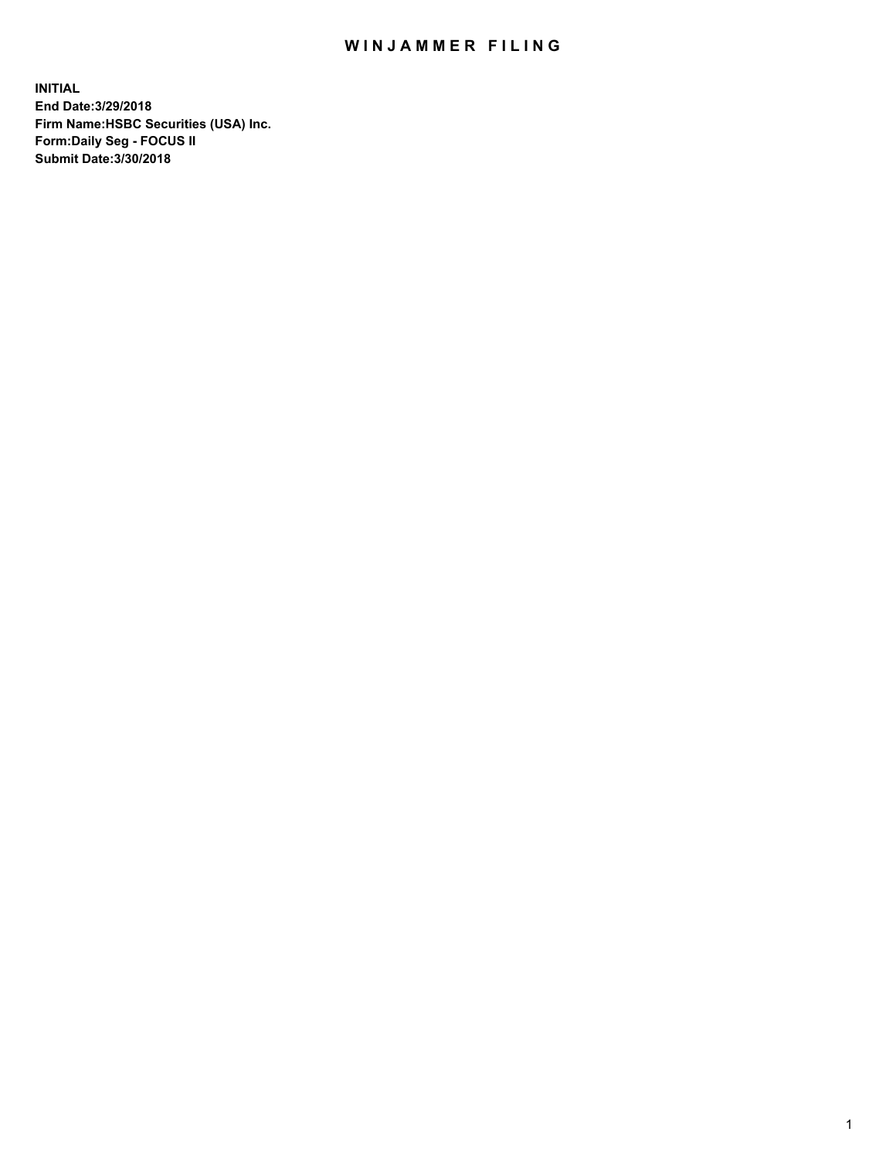## WIN JAMMER FILING

**INITIAL End Date:3/29/2018 Firm Name:HSBC Securities (USA) Inc. Form:Daily Seg - FOCUS II Submit Date:3/30/2018**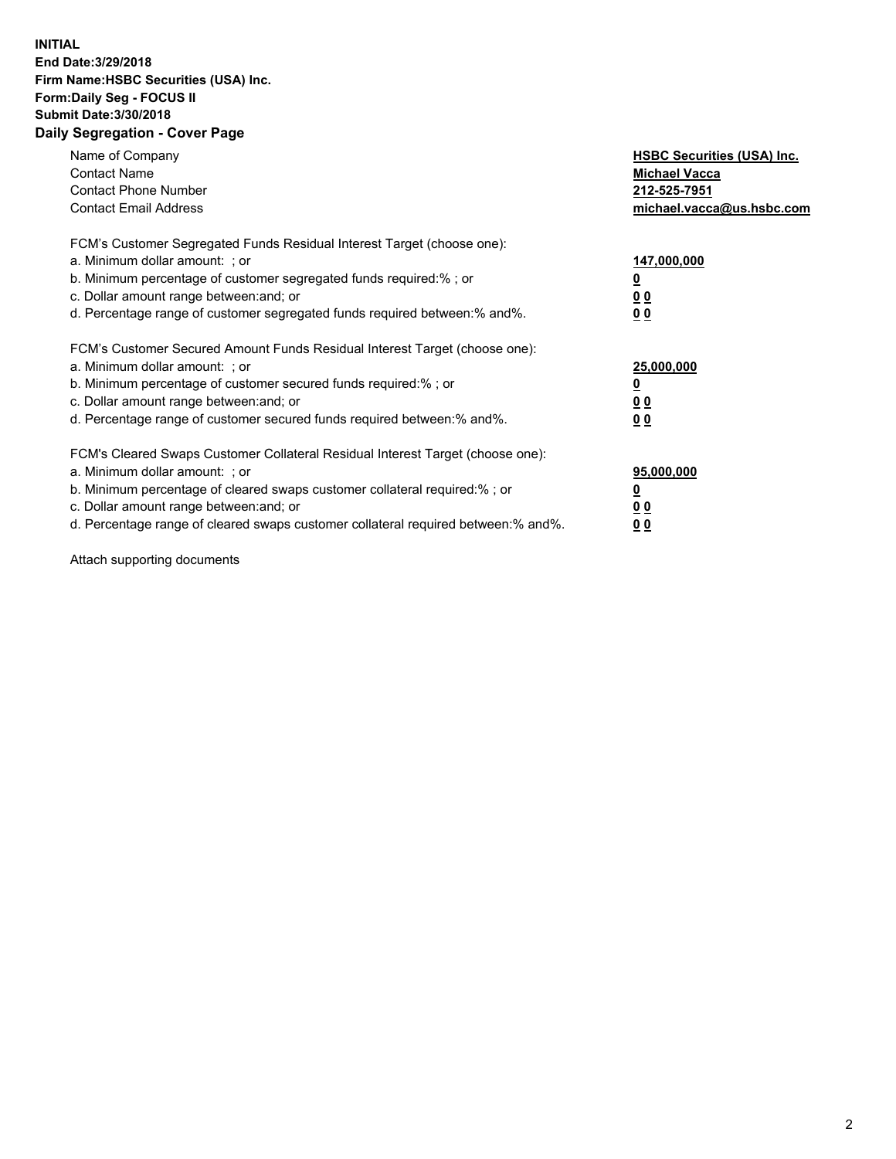## **INITIAL End Date:3/29/2018 Firm Name:HSBC Securities (USA) Inc. Form:Daily Seg - FOCUS II Submit Date:3/30/2018 Daily Segregation - Cover Page**

| Name of Company<br><b>Contact Name</b><br><b>Contact Phone Number</b><br><b>Contact Email Address</b>                                                                                                                                                                                                                         | <b>HSBC Securities (USA) Inc.</b><br><b>Michael Vacca</b><br>212-525-7951<br>michael.vacca@us.hsbc.com |
|-------------------------------------------------------------------------------------------------------------------------------------------------------------------------------------------------------------------------------------------------------------------------------------------------------------------------------|--------------------------------------------------------------------------------------------------------|
| FCM's Customer Segregated Funds Residual Interest Target (choose one):<br>a. Minimum dollar amount: ; or<br>b. Minimum percentage of customer segregated funds required:% ; or<br>c. Dollar amount range between: and; or<br>d. Percentage range of customer segregated funds required between: % and %.                      | 147,000,000<br><u>0</u><br><u>00</u><br>0 <sub>0</sub>                                                 |
| FCM's Customer Secured Amount Funds Residual Interest Target (choose one):<br>a. Minimum dollar amount: ; or<br>b. Minimum percentage of customer secured funds required:%; or<br>c. Dollar amount range between: and; or<br>d. Percentage range of customer secured funds required between: % and %.                         | 25,000,000<br><u>0</u><br><u>00</u><br>00                                                              |
| FCM's Cleared Swaps Customer Collateral Residual Interest Target (choose one):<br>a. Minimum dollar amount: ; or<br>b. Minimum percentage of cleared swaps customer collateral required:%; or<br>c. Dollar amount range between: and; or<br>d. Percentage range of cleared swaps customer collateral required between:% and%. | 95,000,000<br><u>0</u><br>0 <sub>0</sub><br>0 <sub>0</sub>                                             |

Attach supporting documents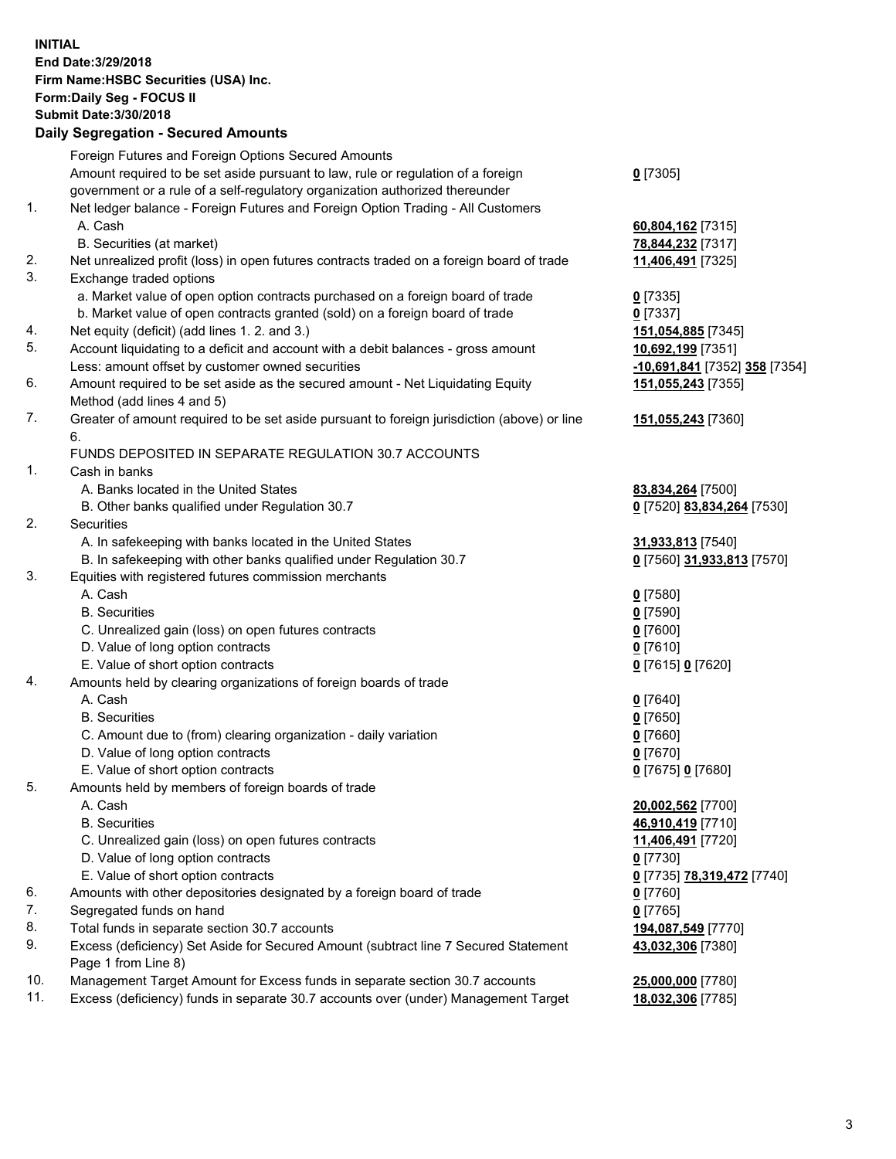**INITIAL End Date:3/29/2018 Firm Name:HSBC Securities (USA) Inc. Form:Daily Seg - FOCUS II Submit Date:3/30/2018 Daily Segregation - Secured Amounts** Foreign Futures and Foreign Options Secured Amounts Amount required to be set aside pursuant to law, rule or regulation of a foreign government or a rule of a self-regulatory organization authorized thereunder **0** [7305] 1. Net ledger balance - Foreign Futures and Foreign Option Trading - All Customers A. Cash **60,804,162** [7315] B. Securities (at market) **78,844,232** [7317] 2. Net unrealized profit (loss) in open futures contracts traded on a foreign board of trade **11,406,491** [7325] 3. Exchange traded options a. Market value of open option contracts purchased on a foreign board of trade **0** [7335] b. Market value of open contracts granted (sold) on a foreign board of trade **0** [7337] 4. Net equity (deficit) (add lines 1. 2. and 3.) **151,054,885** [7345] 5. Account liquidating to a deficit and account with a debit balances - gross amount **10,692,199** [7351] Less: amount offset by customer owned securities **-10,691,841** [7352] **358** [7354] 6. Amount required to be set aside as the secured amount - Net Liquidating Equity Method (add lines 4 and 5) **151,055,243** [7355] 7. Greater of amount required to be set aside pursuant to foreign jurisdiction (above) or line 6. **151,055,243** [7360] FUNDS DEPOSITED IN SEPARATE REGULATION 30.7 ACCOUNTS 1. Cash in banks A. Banks located in the United States **83,834,264** [7500] B. Other banks qualified under Regulation 30.7 **0** [7520] **83,834,264** [7530] 2. Securities A. In safekeeping with banks located in the United States **31,933,813** [7540] B. In safekeeping with other banks qualified under Regulation 30.7 **0** [7560] **31,933,813** [7570] 3. Equities with registered futures commission merchants A. Cash **0** [7580] B. Securities **0** [7590] C. Unrealized gain (loss) on open futures contracts **0** [7600] D. Value of long option contracts **0** [7610] E. Value of short option contracts **0** [7615] **0** [7620] 4. Amounts held by clearing organizations of foreign boards of trade A. Cash **0** [7640] B. Securities **0** [7650] C. Amount due to (from) clearing organization - daily variation **0** [7660] D. Value of long option contracts **0** [7670] E. Value of short option contracts **0** [7675] **0** [7680] 5. Amounts held by members of foreign boards of trade A. Cash **20,002,562** [7700] B. Securities **46,910,419** [7710] C. Unrealized gain (loss) on open futures contracts **11,406,491** [7720] D. Value of long option contracts **0** [7730] E. Value of short option contracts **0** [7735] **78,319,472** [7740] 6. Amounts with other depositories designated by a foreign board of trade **0** [7760] 7. Segregated funds on hand **0** [7765] 8. Total funds in separate section 30.7 accounts **194,087,549** [7770] **43,032,306** [7380]

9. Excess (deficiency) Set Aside for Secured Amount (subtract line 7 Secured Statement Page 1 from Line 8)

10. Management Target Amount for Excess funds in separate section 30.7 accounts **25,000,000** [7780]

11. Excess (deficiency) funds in separate 30.7 accounts over (under) Management Target **18,032,306** [7785]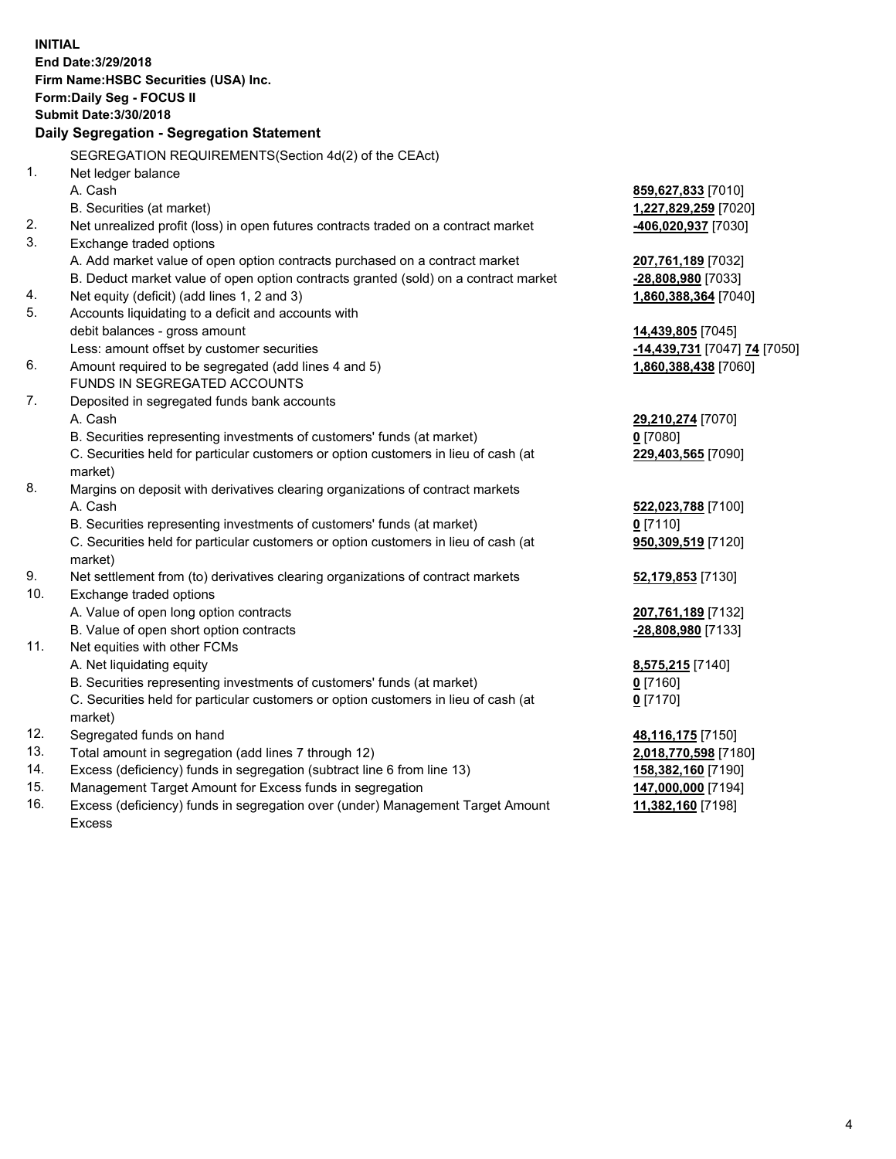**INITIAL End Date:3/29/2018 Firm Name:HSBC Securities (USA) Inc. Form:Daily Seg - FOCUS II Submit Date:3/30/2018 Daily Segregation - Segregation Statement** SEGREGATION REQUIREMENTS(Section 4d(2) of the CEAct) 1. Net ledger balance A. Cash **859,627,833** [7010] B. Securities (at market) **1,227,829,259** [7020] 2. Net unrealized profit (loss) in open futures contracts traded on a contract market **-406,020,937** [7030] 3. Exchange traded options A. Add market value of open option contracts purchased on a contract market **207,761,189** [7032] B. Deduct market value of open option contracts granted (sold) on a contract market **-28,808,980** [7033] 4. Net equity (deficit) (add lines 1, 2 and 3) **1,860,388,364** [7040] 5. Accounts liquidating to a deficit and accounts with debit balances - gross amount **14,439,805** [7045] Less: amount offset by customer securities **-14,439,731** [7047] **74** [7050] 6. Amount required to be segregated (add lines 4 and 5) **1,860,388,438** [7060] FUNDS IN SEGREGATED ACCOUNTS 7. Deposited in segregated funds bank accounts A. Cash **29,210,274** [7070] B. Securities representing investments of customers' funds (at market) **0** [7080] C. Securities held for particular customers or option customers in lieu of cash (at market) **229,403,565** [7090] 8. Margins on deposit with derivatives clearing organizations of contract markets A. Cash **522,023,788** [7100] B. Securities representing investments of customers' funds (at market) **0** [7110] C. Securities held for particular customers or option customers in lieu of cash (at market) **950,309,519** [7120] 9. Net settlement from (to) derivatives clearing organizations of contract markets **52,179,853** [7130] 10. Exchange traded options A. Value of open long option contracts **207,761,189** [7132] B. Value of open short option contracts **-28,808,980** [7133] 11. Net equities with other FCMs A. Net liquidating equity **8,575,215** [7140] B. Securities representing investments of customers' funds (at market) **0** [7160] C. Securities held for particular customers or option customers in lieu of cash (at market) **0** [7170] 12. Segregated funds on hand **48,116,175** [7150] 13. Total amount in segregation (add lines 7 through 12) **2,018,770,598** [7180] 14. Excess (deficiency) funds in segregation (subtract line 6 from line 13) **158,382,160** [7190] 15. Management Target Amount for Excess funds in segregation **147,000,000** [7194]

16. Excess (deficiency) funds in segregation over (under) Management Target Amount Excess

**11,382,160** [7198]